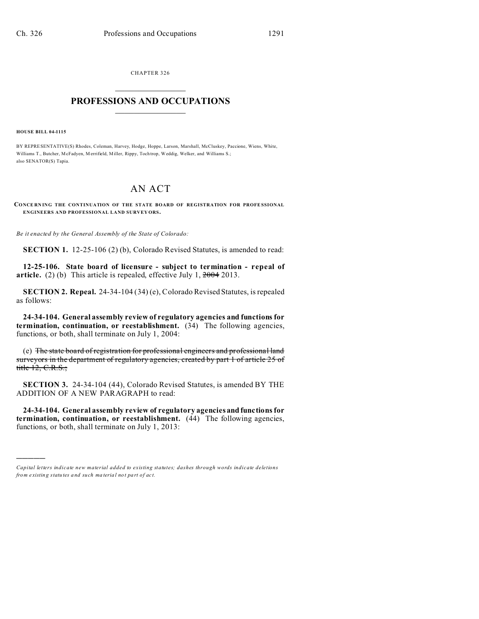CHAPTER 326  $\overline{\phantom{a}}$  , where  $\overline{\phantom{a}}$ 

## **PROFESSIONS AND OCCUPATIONS**  $\frac{1}{2}$  ,  $\frac{1}{2}$  ,  $\frac{1}{2}$  ,  $\frac{1}{2}$  ,  $\frac{1}{2}$  ,  $\frac{1}{2}$

**HOUSE BILL 04-1115**

)))))

BY REPRESENTATIVE(S) Rhodes, Coleman, Harvey, Hodge, Hoppe, Larson, Marshall, McCluskey, Paccione, Wiens, White, Williams T., Butcher, McFadyen, M errifield, Miller, Rippy, Toch trop, Weddig, Welker, and Williams S.; also SENATOR(S) Tapia.

# AN ACT

**CONCE RN ING THE CONTINUATION OF THE STATE BOARD OF REGISTRATION FOR PROFE SSIONAL ENGINEERS AND PROFESSIONAL LAND SURVEY ORS.**

*Be it enacted by the General Assembly of the State of Colorado:*

**SECTION 1.** 12-25-106 (2) (b), Colorado Revised Statutes, is amended to read:

**12-25-106. State board of licensure - subject to termination - repeal of article.** (2) (b) This article is repealed, effective July 1, 2004 2013.

**SECTION 2. Repeal.** 24-34-104 (34) (e), Colorado Revised Statutes, is repealed as follows:

**24-34-104. General assembly review of regulatory agencies and functions for termination, continuation, or reestablishment.** (34) The following agencies, functions, or both, shall terminate on July 1, 2004:

(e) The state board of registration for professional engineers and professional land surveyors in the department of regulatory agencies, created by part 1 of article 25 of title 12, C.R.S.;

**SECTION 3.** 24-34-104 (44), Colorado Revised Statutes, is amended BY THE ADDITION OF A NEW PARAGRAPH to read:

**24-34-104. General assembly review of regulatory agencies and functions for termination, continuation, or reestablishment.** (44) The following agencies, functions, or both, shall terminate on July 1, 2013:

*Capital letters indicate new material added to existing statutes; dashes through words indicate deletions from e xistin g statu tes a nd such ma teria l no t pa rt of ac t.*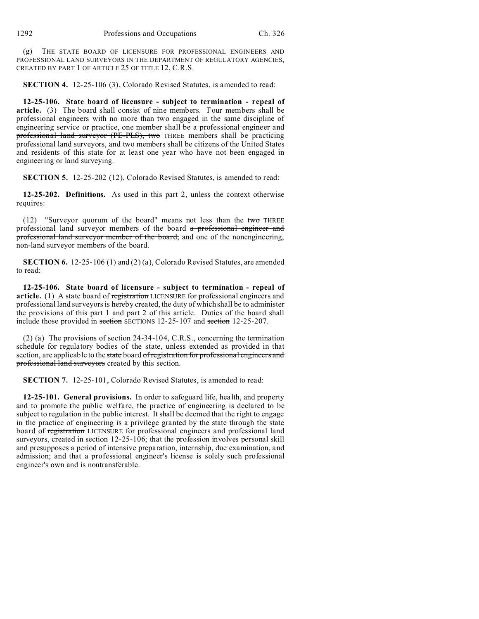(g) THE STATE BOARD OF LICENSURE FOR PROFESSIONAL ENGINEERS AND PROFESSIONAL LAND SURVEYORS IN THE DEPARTMENT OF REGULATORY AGENCIES, CREATED BY PART 1 OF ARTICLE 25 OF TITLE 12, C.R.S.

**SECTION 4.** 12-25-106 (3), Colorado Revised Statutes, is amended to read:

**12-25-106. State board of licensure - subject to termination - repeal of article.** (3) The board shall consist of nine members. Four members shall be professional engineers with no more than two engaged in the same discipline of engineering service or practice, one member shall be a professional engineer and professional land surveyor (PE-PLS), two THREE members shall be practicing professional land surveyors, and two members shall be citizens of the United States and residents of this state for at least one year who have not been engaged in engineering or land surveying.

**SECTION 5.** 12-25-202 (12), Colorado Revised Statutes, is amended to read:

**12-25-202. Definitions.** As used in this part 2, unless the context otherwise requires:

(12) "Surveyor quorum of the board" means not less than the two THREE professional land surveyor members of the board a professional engineer and professional land surveyor member of the board, and one of the nonengineering, non-land surveyor members of the board.

**SECTION 6.** 12-25-106 (1) and (2) (a), Colorado Revised Statutes, are amended to read:

**12-25-106. State board of licensure - subject to termination - repeal of** article. (1) A state board of registration LICENSURE for professional engineers and professional land surveyors is hereby created, the duty of which shall be to administer the provisions of this part 1 and part 2 of this article. Duties of the board shall include those provided in section SECTIONS 12-25-107 and section 12-25-207.

(2) (a) The provisions of section 24-34-104, C.R.S., concerning the termination schedule for regulatory bodies of the state, unless extended as provided in that section, are applicable to the state board of registration for professional engineers and professional land surveyors created by this section.

**SECTION 7.** 12-25-101, Colorado Revised Statutes, is amended to read:

**12-25-101. General provisions.** In order to safeguard life, health, and property and to promote the public welfare, the practice of engineering is declared to be subject to regulation in the public interest. It shall be deemed that the right to engage in the practice of engineering is a privilege granted by the state through the state board of registration LICENSURE for professional engineers and professional land surveyors, created in section 12-25-106; that the profession involves personal skill and presupposes a period of intensive preparation, internship, due examination, and admission; and that a professional engineer's license is solely such professional engineer's own and is nontransferable.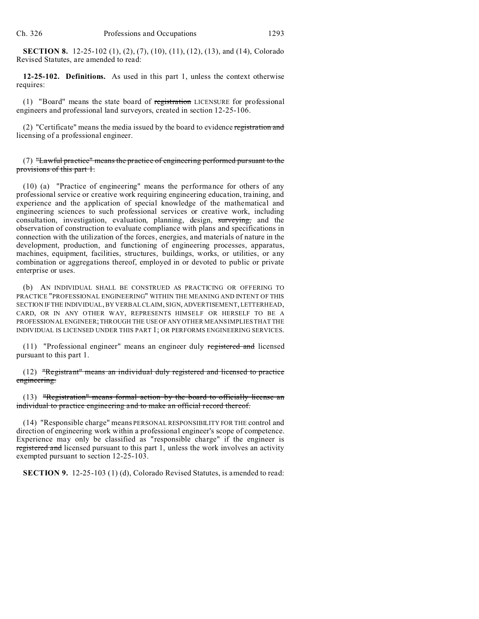**SECTION 8.** 12-25-102 (1), (2), (7), (10), (11), (12), (13), and (14), Colorado Revised Statutes, are amended to read:

**12-25-102. Definitions.** As used in this part 1, unless the context otherwise requires:

(1) "Board" means the state board of registration LICENSURE for professional engineers and professional land surveyors, created in section 12-25-106.

(2) "Certificate" means the media issued by the board to evidence registration and licensing of a professional engineer.

(7) "Lawful practice" means the practice of engineering performed pursuant to the provisions of this part 1.

(10) (a) "Practice of engineering" means the performance for others of any professional service or creative work requiring engineering education, training, and experience and the application of special knowledge of the mathematical and engineering sciences to such professional services or creative work, including consultation, investigation, evaluation, planning, design, surveying, and the observation of construction to evaluate compliance with plans and specifications in connection with the utilization of the forces, energies, and materials of nature in the development, production, and functioning of engineering processes, apparatus, machines, equipment, facilities, structures, buildings, works, or utilities, or any combination or aggregations thereof, employed in or devoted to public or private enterprise or uses.

(b) AN INDIVIDUAL SHALL BE CONSTRUED AS PRACTICING OR OFFERING TO PRACTICE "PROFESSIONAL ENGINEERING" WITHIN THE MEANING AND INTENT OF THIS SECTION IF THE INDIVIDUAL, BY VERBAL CLAIM, SIGN, ADVERTISEMENT, LETTERHEAD, CARD, OR IN ANY OTHER WAY, REPRESENTS HIMSELF OR HERSELF TO BE A PROFESSIONAL ENGINEER; THROUGH THE USEOFANYOTHER MEANS IMPLIES THAT THE INDIVIDUAL IS LICENSED UNDER THIS PART 1; OR PERFORMS ENGINEERING SERVICES.

(11) "Professional engineer" means an engineer duly registered and licensed pursuant to this part 1.

(12) "Registrant" means an individual duly registered and licensed to practice engineering.

(13) "Registration" means formal action by the board to officially license an individual to practice engineering and to make an official record thereof.

(14) "Responsible charge" means PERSONAL RESPONSIBILITY FOR THE control and direction of engineering work within a professional engineer's scope of competence. Experience may only be classified as "responsible charge" if the engineer is registered and licensed pursuant to this part 1, unless the work involves an activity exempted pursuant to section 12-25-103.

**SECTION 9.** 12-25-103 (1) (d), Colorado Revised Statutes, is amended to read: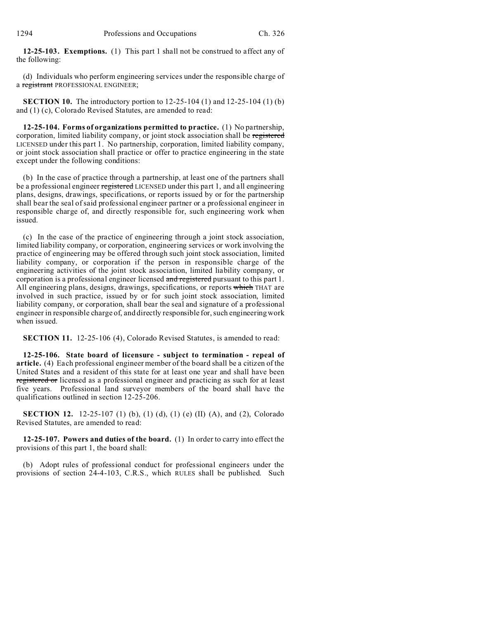**12-25-103. Exemptions.** (1) This part 1 shall not be construed to affect any of the following:

(d) Individuals who perform engineering services under the responsible charge of a registrant PROFESSIONAL ENGINEER;

**SECTION 10.** The introductory portion to 12-25-104 (1) and 12-25-104 (1) (b) and (1) (c), Colorado Revised Statutes, are amended to read:

**12-25-104. Forms of organizations permitted to practice.** (1) No partnership, corporation, limited liability company, or joint stock association shall be registered LICENSED under this part 1. No partnership, corporation, limited liability company, or joint stock association shall practice or offer to practice engineering in the state except under the following conditions:

(b) In the case of practice through a partnership, at least one of the partners shall be a professional engineer registered LICENSED under this part 1, and all engineering plans, designs, drawings, specifications, or reports issued by or for the partnership shall bear the seal of said professional engineer partner or a professional engineer in responsible charge of, and directly responsible for, such engineering work when issued.

(c) In the case of the practice of engineering through a joint stock association, limited liability company, or corporation, engineering services or work involving the practice of engineering may be offered through such joint stock association, limited liability company, or corporation if the person in responsible charge of the engineering activities of the joint stock association, limited liability company, or corporation is a professional engineer licensed and registered pursuant to this part 1. All engineering plans, designs, drawings, specifications, or reports which THAT are involved in such practice, issued by or for such joint stock association, limited liability company, or corporation, shall bear the seal and signature of a professional engineer in responsible charge of, and directly responsible for, such engineering work when issued.

**SECTION 11.** 12-25-106 (4), Colorado Revised Statutes, is amended to read:

**12-25-106. State board of licensure - subject to termination - repeal of article.** (4) Each professional engineer member of the board shall be a citizen of the United States and a resident of this state for at least one year and shall have been registered or licensed as a professional engineer and practicing as such for at least five years. Professional land surveyor members of the board shall have the qualifications outlined in section 12-25-206.

**SECTION 12.** 12-25-107 (1) (b), (1) (d), (1) (e) (II) (A), and (2), Colorado Revised Statutes, are amended to read:

**12-25-107. Powers and duties of the board.** (1) In order to carry into effect the provisions of this part 1, the board shall:

(b) Adopt rules of professional conduct for professional engineers under the provisions of section 24-4-103, C.R.S., which RULES shall be published. Such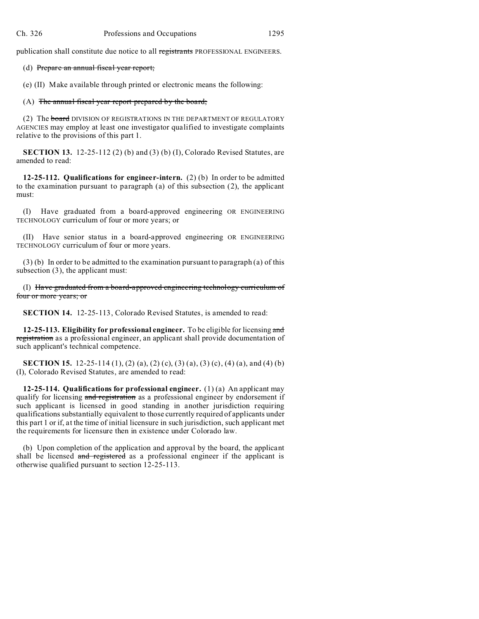publication shall constitute due notice to all registrants PROFESSIONAL ENGINEERS.

### (d) Prepare an annual fiscal year report;

(e) (II) Make available through printed or electronic means the following:

# (A) The annual fiscal year report prepared by the board;

(2) The **board** DIVISION OF REGISTRATIONS IN THE DEPARTMENT OF REGULATORY AGENCIES may employ at least one investigator qualified to investigate complaints relative to the provisions of this part 1.

**SECTION 13.** 12-25-112 (2) (b) and (3) (b) (I), Colorado Revised Statutes, are amended to read:

**12-25-112. Qualifications for engineer-intern.** (2) (b) In order to be admitted to the examination pursuant to paragraph (a) of this subsection (2), the applicant must:

(I) Have graduated from a board-approved engineering OR ENGINEERING TECHNOLOGY curriculum of four or more years; or

Have senior status in a board-approved engineering OR ENGINEERING TECHNOLOGY curriculum of four or more years.

(3) (b) In order to be admitted to the examination pursuant to paragraph (a) of this subsection (3), the applicant must:

(I) Have graduated from a board-approved engineering technology curriculum of four or more years; or

**SECTION 14.** 12-25-113, Colorado Revised Statutes, is amended to read:

**12-25-113. Eligibility for professional engineer.** To be eligible for licensing and registration as a professional engineer, an applicant shall provide documentation of such applicant's technical competence.

**SECTION 15.** 12-25-114 (1), (2) (a), (2) (c), (3) (a), (3) (c), (4) (a), and (4) (b) (I), Colorado Revised Statutes, are amended to read:

**12-25-114. Qualifications for professional engineer.** (1) (a) An applicant may qualify for licensing and registration as a professional engineer by endorsement if such applicant is licensed in good standing in another jurisdiction requiring qualifications substantially equivalent to those currently required of applicants under this part 1 or if, at the time of initial licensure in such jurisdiction, such applicant met the requirements for licensure then in existence under Colorado law.

(b) Upon completion of the application and approval by the board, the applicant shall be licensed and registered as a professional engineer if the applicant is otherwise qualified pursuant to section 12-25-113.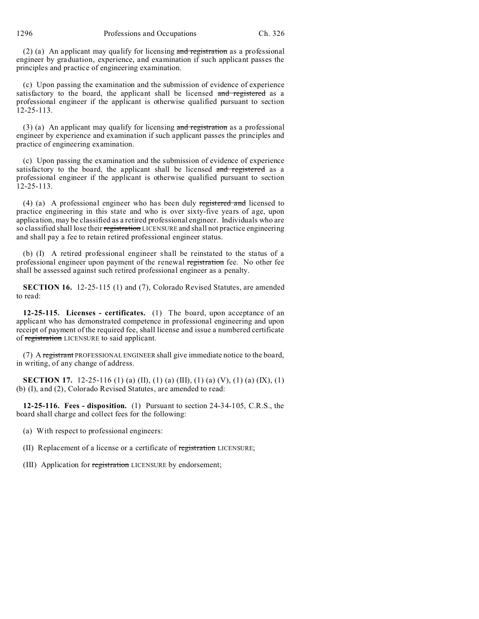1296 Professions and Occupations Ch. 326

(2) (a) An applicant may qualify for licensing and registration as a professional engineer by graduation, experience, and examination if such applicant passes the principles and practice of engineering examination.

(c) Upon passing the examination and the submission of evidence of experience satisfactory to the board, the applicant shall be licensed and registered as a professional engineer if the applicant is otherwise qualified pursuant to section 12-25-113.

(3) (a) An applicant may qualify for licensing and registration as a professional engineer by experience and examination if such applicant passes the principles and practice of engineering examination.

(c) Upon passing the examination and the submission of evidence of experience satisfactory to the board, the applicant shall be licensed and registered as a professional engineer if the applicant is otherwise qualified pursuant to section 12-25-113.

(4) (a) A professional engineer who has been duly registered and licensed to practice engineering in this state and who is over sixty-five years of age, upon application, may be classified as a retired professional engineer. Individuals who are so classified shall lose their registration LICENSURE and shall not practice engineering and shall pay a fee to retain retired professional engineer status.

(b) (I) A retired professional engineer shall be reinstated to the status of a professional engineer upon payment of the renewal registration fee. No other fee shall be assessed against such retired professional engineer as a penalty.

**SECTION 16.** 12-25-115 (1) and (7), Colorado Revised Statutes, are amended to read:

**12-25-115. Licenses - certificates.** (1) The board, upon acceptance of an applicant who has demonstrated competence in professional engineering and upon receipt of payment of the required fee, shall license and issue a numbered certificate of registration LICENSURE to said applicant.

(7) A registrant PROFESSIONAL ENGINEER shall give immediate notice to the board, in writing, of any change of address.

**SECTION 17.** 12-25-116 (1) (a) (II), (1) (a) (III), (1) (a) (V), (1) (a) (IX), (1) (b) (I), and (2), Colorado Revised Statutes, are amended to read:

**12-25-116. Fees - disposition.** (1) Pursuant to section 24-34-105, C.R.S., the board shall charge and collect fees for the following:

- (a) With respect to professional engineers:
- (II) Replacement of a license or a certificate of registration LICENSURE;
- (III) Application for registration LICENSURE by endorsement;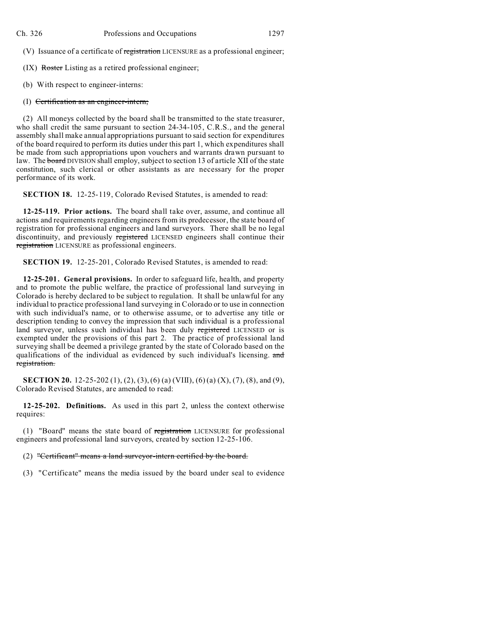(V) Issuance of a certificate of registration LICENSURE as a professional engineer;

(IX) Roster Listing as a retired professional engineer;

(b) With respect to engineer-interns:

#### (I) Certification as an engineer-intern;

(2) All moneys collected by the board shall be transmitted to the state treasurer, who shall credit the same pursuant to section 24-34-105, C.R.S., and the general assembly shall make annual appropriations pursuant to said section for expenditures of the board required to perform its duties under this part 1, which expenditures shall be made from such appropriations upon vouchers and warrants drawn pursuant to law. The board DIVISION shall employ, subject to section 13 of article XII of the state constitution, such clerical or other assistants as are necessary for the proper performance of its work.

**SECTION 18.** 12-25-119, Colorado Revised Statutes, is amended to read:

**12-25-119. Prior actions.** The board shall take over, assume, and continue all actions and requirements regarding engineers from its predecessor, the state board of registration for professional engineers and land surveyors. There shall be no legal discontinuity, and previously registered LICENSED engineers shall continue their registration LICENSURE as professional engineers.

**SECTION 19.** 12-25-201, Colorado Revised Statutes, is amended to read:

**12-25-201. General provisions.** In order to safeguard life, health, and property and to promote the public welfare, the practice of professional land surveying in Colorado is hereby declared to be subject to regulation. It shall be unlawful for any individual to practice professional land surveying in Colorado or to use in connection with such individual's name, or to otherwise assume, or to advertise any title or description tending to convey the impression that such individual is a professional land surveyor, unless such individual has been duly registered LICENSED or is exempted under the provisions of this part 2. The practice of professional land surveying shall be deemed a privilege granted by the state of Colorado based on the qualifications of the individual as evidenced by such individual's licensing. and registration.

**SECTION 20.** 12-25-202 (1), (2), (3), (6) (a) (VIII), (6) (a) (X), (7), (8), and (9), Colorado Revised Statutes, are amended to read:

**12-25-202. Definitions.** As used in this part 2, unless the context otherwise requires:

(1) "Board" means the state board of registration LICENSURE for professional engineers and professional land surveyors, created by section 12-25-106.

(2) "Certificant" means a land surveyor-intern certified by the board.

(3) "Certificate" means the media issued by the board under seal to evidence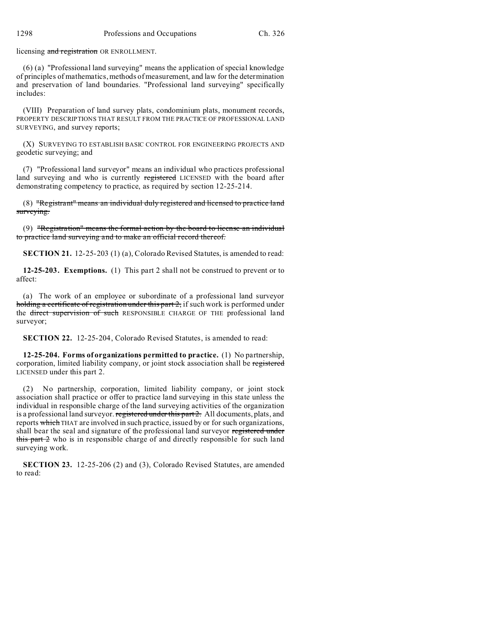licensing and registration OR ENROLLMENT.

(6) (a) "Professional land surveying" means the application of special knowledge of principles of mathematics, methods of measurement, and law for the determination and preservation of land boundaries. "Professional land surveying" specifically includes:

(VIII) Preparation of land survey plats, condominium plats, monument records, PROPERTY DESCRIPTIONS THAT RESULT FROM THE PRACTICE OF PROFESSIONAL LAND SURVEYING, and survey reports;

(X) SURVEYING TO ESTABLISH BASIC CONTROL FOR ENGINEERING PROJECTS AND geodetic surveying; and

(7) "Professional land surveyor" means an individual who practices professional land surveying and who is currently registered LICENSED with the board after demonstrating competency to practice, as required by section 12-25-214.

(8) "Registrant" means an individual duly registered and licensed to practice land surveying.

(9) "Registration" means the formal action by the board to license an individual to practice land surveying and to make an official record thereof.

**SECTION 21.** 12-25-203 (1) (a), Colorado Revised Statutes, is amended to read:

**12-25-203. Exemptions.** (1) This part 2 shall not be construed to prevent or to affect:

(a) The work of an employee or subordinate of a professional land surveyor holding a certificate of registration under this part  $2$ , if such work is performed under the direct supervision of such RESPONSIBLE CHARGE OF THE professional land surveyor;

**SECTION 22.** 12-25-204, Colorado Revised Statutes, is amended to read:

**12-25-204. Forms of organizations permitted to practice.** (1) No partnership, corporation, limited liability company, or joint stock association shall be registered LICENSED under this part 2.

(2) No partnership, corporation, limited liability company, or joint stock association shall practice or offer to practice land surveying in this state unless the individual in responsible charge of the land surveying activities of the organization is a professional land surveyor. registered under this part 2. All documents, plats, and reports which THAT are involved in such practice, issued by or for such organizations, shall bear the seal and signature of the professional land surveyor registered under this part  $\frac{1}{2}$  who is in responsible charge of and directly responsible for such land surveying work.

**SECTION 23.** 12-25-206 (2) and (3), Colorado Revised Statutes, are amended to read: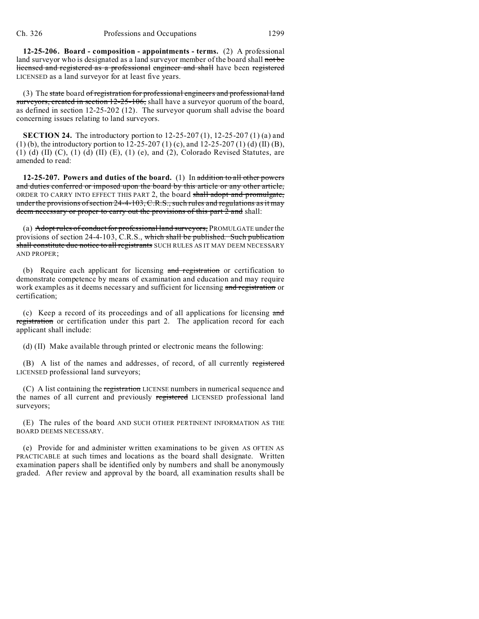**12-25-206. Board - composition - appointments - terms.** (2) A professional land surveyor who is designated as a land surveyor member of the board shall not be licensed and registered as a professional engineer and shall have been registered LICENSED as a land surveyor for at least five years.

(3) The state board of registration for professional engineers and professional land surveyors, created in section 12-25-106, shall have a surveyor quorum of the board, as defined in section 12-25-202 (12). The surveyor quorum shall advise the board concerning issues relating to land surveyors.

**SECTION 24.** The introductory portion to 12-25-207 (1), 12-25-207 (1) (a) and (1) (b), the introductory portion to  $12-25-207$  (1) (c), and  $12-25-207$  (1) (d) (II) (B), (1) (d) (II) (C), (1) (d) (II) (E), (1) (e), and (2), Colorado Revised Statutes, are amended to read:

**12-25-207. Powers and duties of the board.** (1) In addition to all other powers and duties conferred or imposed upon the board by this article or any other article, ORDER TO CARRY INTO EFFECT THIS PART 2, the board shall adopt and promulgate, under the provisions of section 24-4-103, C.R.S., such rules and regulations as it may deem necessary or proper to carry out the provisions of this part 2 and shall:

(a) Adopt rules of conduct for professional land surveyors, PROMULGATE under the provisions of section 24-4-103, C.R.S., which shall be published. Such publication shall constitute due notice to all registrants SUCH RULES AS IT MAY DEEM NECESSARY AND PROPER;

(b) Require each applicant for licensing and registration or certification to demonstrate competence by means of examination and education and may require work examples as it deems necessary and sufficient for licensing and registration or certification;

(c) Keep a record of its proceedings and of all applications for licensing and registration or certification under this part 2. The application record for each applicant shall include:

(d) (II) Make available through printed or electronic means the following:

(B) A list of the names and addresses, of record, of all currently registered LICENSED professional land surveyors;

(C) A list containing the registration LICENSE numbers in numerical sequence and the names of all current and previously registered LICENSED professional land surveyors;

(E) The rules of the board AND SUCH OTHER PERTINENT INFORMATION AS THE BOARD DEEMS NECESSARY.

(e) Provide for and administer written examinations to be given AS OFTEN AS PRACTICABLE at such times and locations as the board shall designate. Written examination papers shall be identified only by numbers and shall be anonymously graded. After review and approval by the board, all examination results shall be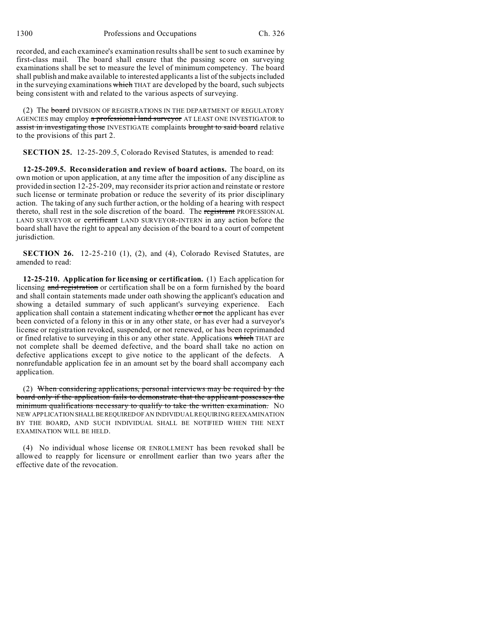1300 Professions and Occupations Ch. 326

recorded, and each examinee's examination results shall be sent to such examinee by first-class mail. The board shall ensure that the passing score on surveying examinations shall be set to measure the level of minimum competency. The board shall publish and make available to interested applicants a list of the subjects included in the surveying examinations which THAT are developed by the board, such subjects being consistent with and related to the various aspects of surveying.

(2) The board DIVISION OF REGISTRATIONS IN THE DEPARTMENT OF REGULATORY AGENCIES may employ a **professional land surveyor** AT LEAST ONE INVESTIGATOR to assist in investigating those INVESTIGATE complaints brought to said board relative to the provisions of this part 2.

**SECTION 25.** 12-25-209.5, Colorado Revised Statutes, is amended to read:

**12-25-209.5. Reconsideration and review of board actions.** The board, on its own motion or upon application, at any time after the imposition of any discipline as provided in section 12-25-209, may reconsider its prior action and reinstate or restore such license or terminate probation or reduce the severity of its prior disciplinary action. The taking of any such further action, or the holding of a hearing with respect thereto, shall rest in the sole discretion of the board. The registrant PROFESSIONAL LAND SURVEYOR or certificant LAND SURVEYOR-INTERN in any action before the board shall have the right to appeal any decision of the board to a court of competent jurisdiction.

**SECTION 26.** 12-25-210 (1), (2), and (4), Colorado Revised Statutes, are amended to read:

**12-25-210. Application for licensing or certification.** (1) Each application for licensing and registration or certification shall be on a form furnished by the board and shall contain statements made under oath showing the applicant's education and showing a detailed summary of such applicant's surveying experience. Each application shall contain a statement indicating whether or not the applicant has ever been convicted of a felony in this or in any other state, or has ever had a surveyor's license or registration revoked, suspended, or not renewed, or has been reprimanded or fined relative to surveying in this or any other state. Applications which THAT are not complete shall be deemed defective, and the board shall take no action on defective applications except to give notice to the applicant of the defects. A nonrefundable application fee in an amount set by the board shall accompany each application.

(2) When considering applications, personal interviews may be required by the board only if the application fails to demonstrate that the applicant possesses the minimum qualifications necessary to qualify to take the written examination. No NEW APPLICATION SHALLBEREQUIREDOF AN INDIVIDUAL REQUIRING REEXAMINATION BY THE BOARD, AND SUCH INDIVIDUAL SHALL BE NOTIFIED WHEN THE NEXT EXAMINATION WILL BE HELD.

(4) No individual whose license OR ENROLLMENT has been revoked shall be allowed to reapply for licensure or enrollment earlier than two years after the effective date of the revocation.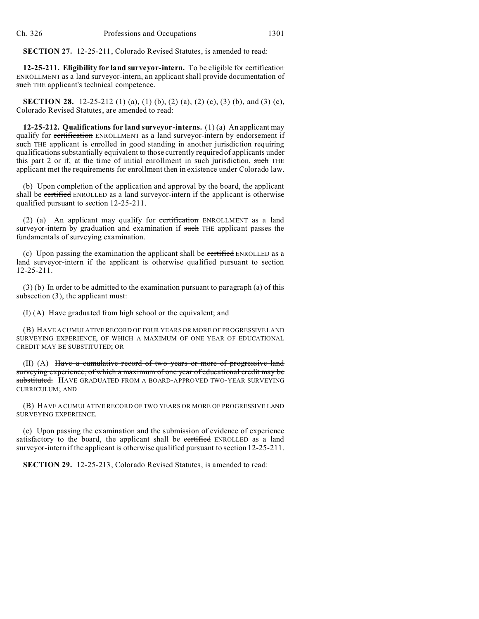**SECTION 27.** 12-25-211, Colorado Revised Statutes, is amended to read:

**12-25-211. Eligibility for land surveyor-intern.** To be eligible for certification ENROLLMENT as a land surveyor-intern, an applicant shall provide documentation of such THE applicant's technical competence.

**SECTION 28.** 12-25-212 (1) (a), (1) (b), (2) (a), (2) (c), (3) (b), and (3) (c), Colorado Revised Statutes, are amended to read:

**12-25-212. Qualifications for land surveyor-interns.** (1) (a) An applicant may qualify for certification ENROLLMENT as a land surveyor-intern by endorsement if such THE applicant is enrolled in good standing in another jurisdiction requiring qualifications substantially equivalent to those currently required of applicants under this part 2 or if, at the time of initial enrollment in such jurisdiction, such THE applicant met the requirements for enrollment then in existence under Colorado law.

(b) Upon completion of the application and approval by the board, the applicant shall be certified ENROLLED as a land surveyor-intern if the applicant is otherwise qualified pursuant to section 12-25-211.

(2) (a) An applicant may qualify for certification ENROLLMENT as a land surveyor-intern by graduation and examination if such THE applicant passes the fundamentals of surveying examination.

(c) Upon passing the examination the applicant shall be certified ENROLLED as a land surveyor-intern if the applicant is otherwise qualified pursuant to section 12-25-211.

(3) (b) In order to be admitted to the examination pursuant to paragraph (a) of this subsection (3), the applicant must:

(I) (A) Have graduated from high school or the equivalent; and

(B) HAVE A CUMULATIVE RECORD OF FOUR YEARS OR MORE OF PROGRESSIVE LAND SURVEYING EXPERIENCE, OF WHICH A MAXIMUM OF ONE YEAR OF EDUCATIONAL CREDIT MAY BE SUBSTITUTED; OR

(II) (A) Have a cumulative record of two years or more of progressive land surveying experience, of which a maximum of one year of educational credit may be substituted. HAVE GRADUATED FROM A BOARD-APPROVED TWO-YEAR SURVEYING CURRICULUM; AND

(B) HAVE A CUMULATIVE RECORD OF TWO YEARS OR MORE OF PROGRESSIVE LAND SURVEYING EXPERIENCE.

(c) Upon passing the examination and the submission of evidence of experience satisfactory to the board, the applicant shall be certified ENROLLED as a land surveyor-intern if the applicant is otherwise qualified pursuant to section 12-25-211.

**SECTION 29.** 12-25-213, Colorado Revised Statutes, is amended to read: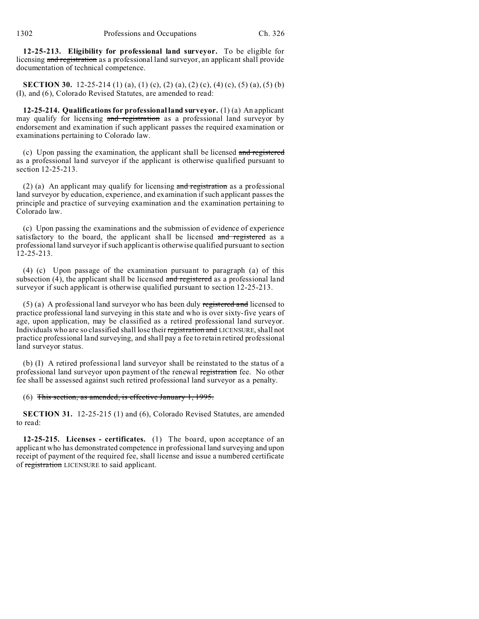**12-25-213. Eligibility for professional land surveyor.** To be eligible for licensing and registration as a professional land surveyor, an applicant shall provide documentation of technical competence.

**SECTION 30.** 12-25-214 (1) (a), (1) (c), (2) (a), (2) (c), (4) (c), (5) (a), (5) (b) (I), and (6), Colorado Revised Statutes, are amended to read:

**12-25-214. Qualifications for professional land surveyor.** (1) (a) An applicant may qualify for licensing and registration as a professional land surveyor by endorsement and examination if such applicant passes the required examination or examinations pertaining to Colorado law.

(c) Upon passing the examination, the applicant shall be licensed and registered as a professional land surveyor if the applicant is otherwise qualified pursuant to section 12-25-213.

(2) (a) An applicant may qualify for licensing  $\frac{1}{2}$  and registration as a professional land surveyor by education, experience, and examination if such applicant passes the principle and practice of surveying examination and the examination pertaining to Colorado law.

(c) Upon passing the examinations and the submission of evidence of experience satisfactory to the board, the applicant shall be licensed and registered as a professional land surveyor if such applicant is otherwise qualified pursuant to section 12-25-213.

(4) (c) Upon passage of the examination pursuant to paragraph (a) of this subsection  $(4)$ , the applicant shall be licensed and registered as a professional land surveyor if such applicant is otherwise qualified pursuant to section 12-25-213.

 $(5)$  (a) A professional land surveyor who has been duly registered and licensed to practice professional land surveying in this state and who is over sixty-five years of age, upon application, may be classified as a retired professional land surveyor. Individuals who are so classified shall lose their registration and LICENSURE, shall not practice professional land surveying, and shall pay a fee to retain retired professional land surveyor status.

(b) (I) A retired professional land surveyor shall be reinstated to the status of a professional land surveyor upon payment of the renewal registration fee. No other fee shall be assessed against such retired professional land surveyor as a penalty.

(6) This section, as amended, is effective January 1, 1995.

**SECTION 31.** 12-25-215 (1) and (6), Colorado Revised Statutes, are amended to read:

**12-25-215. Licenses - certificates.** (1) The board, upon acceptance of an applicant who has demonstrated competence in professional land surveying and upon receipt of payment of the required fee, shall license and issue a numbered certificate of registration LICENSURE to said applicant.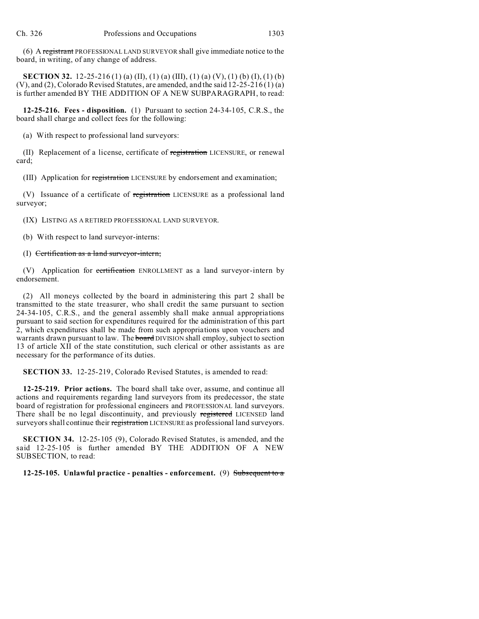(6) A registrant PROFESSIONAL LAND SURVEYOR shall give immediate notice to the board, in writing, of any change of address.

**SECTION 32.** 12-25-216 (1) (a) (II), (1) (a) (III), (1) (a) (V), (1) (b) (I), (1) (b) (V), and (2), Colorado Revised Statutes, are amended, and the said 12-25-216 (1) (a) is further amended BY THE ADDITION OF A NEW SUBPARAGRAPH, to read:

**12-25-216. Fees - disposition.** (1) Pursuant to section 24-34-105, C.R.S., the board shall charge and collect fees for the following:

(a) With respect to professional land surveyors:

(II) Replacement of a license, certificate of registration LICENSURE, or renewal card;

(III) Application for registration LICENSURE by endorsement and examination;

(V) Issuance of a certificate of registration LICENSURE as a professional land surveyor;

(IX) LISTING AS A RETIRED PROFESSIONAL LAND SURVEYOR.

(b) With respect to land surveyor-interns:

### (I) Certification as a land surveyor-intern;

(V) Application for **certification** ENROLLMENT as a land surveyor-intern by endorsement.

(2) All moneys collected by the board in administering this part 2 shall be transmitted to the state treasurer, who shall credit the same pursuant to section 24-34-105, C.R.S., and the general assembly shall make annual appropriations pursuant to said section for expenditures required for the administration of this part 2, which expenditures shall be made from such appropriations upon vouchers and warrants drawn pursuant to law. The **board** DIVISION shall employ, subject to section 13 of article XII of the state constitution, such clerical or other assistants as are necessary for the performance of its duties.

**SECTION 33.** 12-25-219, Colorado Revised Statutes, is amended to read:

**12-25-219. Prior actions.** The board shall take over, assume, and continue all actions and requirements regarding land surveyors from its predecessor, the state board of registration for professional engineers and PROFESSIONAL land surveyors. There shall be no legal discontinuity, and previously registered LICENSED land surveyors shall continue their registration LICENSURE as professional land surveyors.

**SECTION 34.** 12-25-105 (9), Colorado Revised Statutes, is amended, and the said 12-25-105 is further amended BY THE ADDITION OF A NEW SUBSECTION, to read:

**12-25-105. Unlawful practice - penalties - enforcement.** (9) Subsequent to a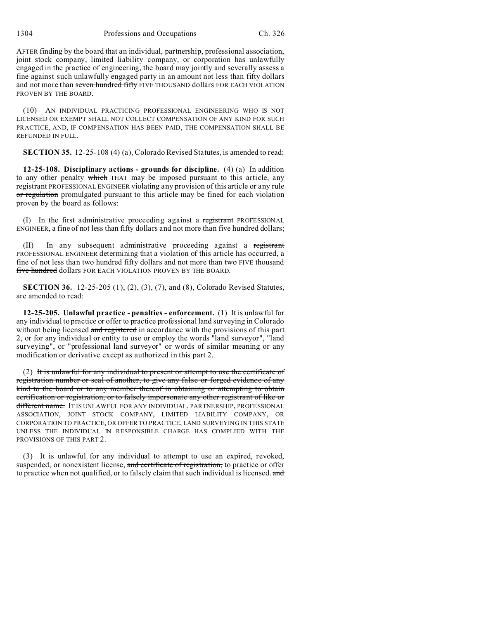AFTER finding by the board that an individual, partnership, professional association, joint stock company, limited liability company, or corporation has unlawfully engaged in the practice of engineering, the board may jointly and severally assess a fine against such unlawfully engaged party in an amount not less than fifty dollars and not more than seven hundred fifty FIVE THOUSAND dollars FOR EACH VIOLATION PROVEN BY THE BOARD.

(10) AN INDIVIDUAL PRACTICING PROFESSIONAL ENGINEERING WHO IS NOT LICENSED OR EXEMPT SHALL NOT COLLECT COMPENSATION OF ANY KIND FOR SUCH PRACTICE, AND, IF COMPENSATION HAS BEEN PAID, THE COMPENSATION SHALL BE REFUNDED IN FULL.

**SECTION 35.** 12-25-108 (4) (a), Colorado Revised Statutes, is amended to read:

**12-25-108. Disciplinary actions - grounds for discipline.** (4) (a) In addition to any other penalty which THAT may be imposed pursuant to this article, any registrant PROFESSIONAL ENGINEER violating any provision of this article or any rule or regulation promulgated pursuant to this article may be fined for each violation proven by the board as follows:

(I) In the first administrative proceeding against a registrant PROFESSIONAL ENGINEER, a fine of not less than fifty dollars and not more than five hundred dollars;

In any subsequent administrative proceeding against a registrant PROFESSIONAL ENGINEER determining that a violation of this article has occurred, a fine of not less than two hundred fifty dollars and not more than two FIVE thousand five hundred dollars FOR EACH VIOLATION PROVEN BY THE BOARD.

**SECTION 36.** 12-25-205 (1), (2), (3), (7), and (8), Colorado Revised Statutes, are amended to read:

**12-25-205. Unlawful practice - penalties - enforcement.** (1) It is unlawful for any individual to practice or offer to practice professional land surveying in Colorado without being licensed and registered in accordance with the provisions of this part 2, or for any individual or entity to use or employ the words "land surveyor", "land surveying", or "professional land surveyor" or words of similar meaning or any modification or derivative except as authorized in this part 2.

(2) It is unlawful for any individual to present or attempt to use the certificate of registration number or seal of another, to give any false or forged evidence of any kind to the board or to any member thereof in obtaining or attempting to obtain certification or registration, or to falsely impersonate any other registrant of like or different name. IT IS UNLAWFUL FOR ANY INDIVIDUAL, PARTNERSHIP, PROFESSIONAL ASSOCIATION, JOINT STOCK COMPANY, LIMITED LIABILITY COMPANY, OR CORPORATION TO PRACTICE, OR OFFER TO PRACTICE, LAND SURVEYING IN THIS STATE UNLESS THE INDIVIDUAL IN RESPONSIBLE CHARGE HAS COMPLIED WITH THE PROVISIONS OF THIS PART 2.

(3) It is unlawful for any individual to attempt to use an expired, revoked, suspended, or nonexistent license, and certificate of registration, to practice or offer to practice when not qualified, or to falsely claim that such individual is licensed. and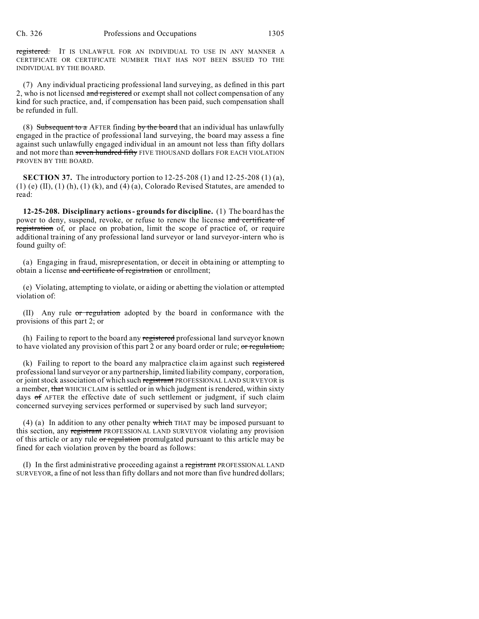registered. IT IS UNLAWFUL FOR AN INDIVIDUAL TO USE IN ANY MANNER A CERTIFICATE OR CERTIFICATE NUMBER THAT HAS NOT BEEN ISSUED TO THE INDIVIDUAL BY THE BOARD.

(7) Any individual practicing professional land surveying, as defined in this part 2, who is not licensed and registered or exempt shall not collect compensation of any kind for such practice, and, if compensation has been paid, such compensation shall be refunded in full.

(8) Subsequent to a AFTER finding by the board that an individual has unlawfully engaged in the practice of professional land surveying, the board may assess a fine against such unlawfully engaged individual in an amount not less than fifty dollars and not more than seven hundred fifty FIVE THOUSAND dollars FOR EACH VIOLATION PROVEN BY THE BOARD.

**SECTION 37.** The introductory portion to 12-25-208 (1) and 12-25-208 (1) (a), (1) (e)  $(II)$ ,  $(1)$   $(h)$ ,  $(1)$   $(k)$ , and  $(4)$   $(a)$ , Colorado Revised Statutes, are amended to read:

**12-25-208. Disciplinary actions - grounds for discipline.** (1) The board has the power to deny, suspend, revoke, or refuse to renew the license and certificate of registration of, or place on probation, limit the scope of practice of, or require additional training of any professional land surveyor or land surveyor-intern who is found guilty of:

(a) Engaging in fraud, misrepresentation, or deceit in obtaining or attempting to obtain a license and certificate of registration or enrollment;

(e) Violating, attempting to violate, or aiding or abetting the violation or attempted violation of:

(II) Any rule or regulation adopted by the board in conformance with the provisions of this part 2; or

(h) Failing to report to the board any registered professional land surveyor known to have violated any provision of this part 2 or any board order or rule; or regulation;

(k) Failing to report to the board any malpractice claim against such registered professional land surveyor or any partnership, limited liability company, corporation, or joint stock association of which such registrant PROFESSIONAL LAND SURVEYOR is a member, that WHICH CLAIM is settled or in which judgment is rendered, within sixty days of AFTER the effective date of such settlement or judgment, if such claim concerned surveying services performed or supervised by such land surveyor;

(4) (a) In addition to any other penalty which THAT may be imposed pursuant to this section, any registrant PROFESSIONAL LAND SURVEYOR violating any provision of this article or any rule or regulation promulgated pursuant to this article may be fined for each violation proven by the board as follows:

(I) In the first administrative proceeding against a registrant PROFESSIONAL LAND SURVEYOR, a fine of not less than fifty dollars and not more than five hundred dollars;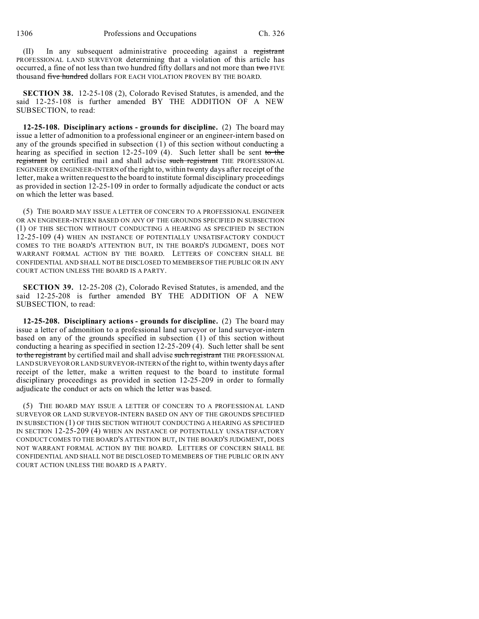(II) In any subsequent administrative proceeding against a registrant PROFESSIONAL LAND SURVEYOR determining that a violation of this article has occurred, a fine of not less than two hundred fifty dollars and not more than two FIVE thousand five hundred dollars FOR EACH VIOLATION PROVEN BY THE BOARD.

**SECTION 38.** 12-25-108 (2), Colorado Revised Statutes, is amended, and the said 12-25-108 is further amended BY THE ADDITION OF A NEW SUBSECTION, to read:

**12-25-108. Disciplinary actions - grounds for discipline.** (2) The board may issue a letter of admonition to a professional engineer or an engineer-intern based on any of the grounds specified in subsection (1) of this section without conducting a hearing as specified in section  $12-25-109$  (4). Such letter shall be sent to the registrant by certified mail and shall advise such registrant THE PROFESSIONAL ENGINEER OR ENGINEER-INTERN of the right to, within twenty days after receipt of the letter, make a written request to the board to institute formal disciplinary proceedings as provided in section 12-25-109 in order to formally adjudicate the conduct or acts on which the letter was based.

(5) THE BOARD MAY ISSUE A LETTER OF CONCERN TO A PROFESSIONAL ENGINEER OR AN ENGINEER-INTERN BASED ON ANY OF THE GROUNDS SPECIFIED IN SUBSECTION (1) OF THIS SECTION WITHOUT CONDUCTING A HEARING AS SPECIFIED IN SECTION 12-25-109 (4) WHEN AN INSTANCE OF POTENTIALLY UNSATISFACTORY CONDUCT COMES TO THE BOARD'S ATTENTION BUT, IN THE BOARD'S JUDGMENT, DOES NOT WARRANT FORMAL ACTION BY THE BOARD. LETTERS OF CONCERN SHALL BE CONFIDENTIAL AND SHALL NOT BE DISCLOSED TO MEMBERS OF THE PUBLIC OR IN ANY COURT ACTION UNLESS THE BOARD IS A PARTY.

**SECTION 39.** 12-25-208 (2), Colorado Revised Statutes, is amended, and the said 12-25-208 is further amended BY THE ADDITION OF A NEW SUBSECTION, to read:

**12-25-208. Disciplinary actions - grounds for discipline.** (2) The board may issue a letter of admonition to a professional land surveyor or land surveyor-intern based on any of the grounds specified in subsection (1) of this section without conducting a hearing as specified in section 12-25-209 (4). Such letter shall be sent to the registrant by certified mail and shall advise such registrant THE PROFESSIONAL LAND SURVEYOR OR LAND SURVEYOR-INTERN of the right to, within twenty days after receipt of the letter, make a written request to the board to institute formal disciplinary proceedings as provided in section 12-25-209 in order to formally adjudicate the conduct or acts on which the letter was based.

(5) THE BOARD MAY ISSUE A LETTER OF CONCERN TO A PROFESSIONAL LAND SURVEYOR OR LAND SURVEYOR-INTERN BASED ON ANY OF THE GROUNDS SPECIFIED IN SUBSECTION (1) OF THIS SECTION WITHOUT CONDUCTING A HEARING AS SPECIFIED IN SECTION 12-25-209 (4) WHEN AN INSTANCE OF POTENTIALLY UNSATISFACTORY CONDUCT COMES TO THE BOARD'S ATTENTION BUT, IN THE BOARD'S JUDGMENT, DOES NOT WARRANT FORMAL ACTION BY THE BOARD. LETTERS OF CONCERN SHALL BE CONFIDENTIAL AND SHALL NOT BE DISCLOSED TO MEMBERS OF THE PUBLIC OR IN ANY COURT ACTION UNLESS THE BOARD IS A PARTY.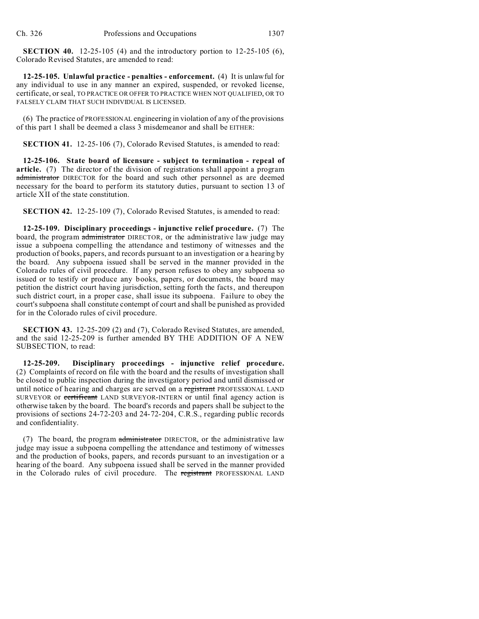**SECTION 40.** 12-25-105 (4) and the introductory portion to 12-25-105 (6), Colorado Revised Statutes, are amended to read:

**12-25-105. Unlawful practice - penalties - enforcement.** (4) It is unlawful for any individual to use in any manner an expired, suspended, or revoked license, certificate, or seal, TO PRACTICE OR OFFER TO PRACTICE WHEN NOT QUALIFIED, OR TO FALSELY CLAIM THAT SUCH INDIVIDUAL IS LICENSED.

(6) The practice of PROFESSIONAL engineering in violation of any of the provisions of this part 1 shall be deemed a class 3 misdemeanor and shall be EITHER:

**SECTION 41.** 12-25-106 (7), Colorado Revised Statutes, is amended to read:

**12-25-106. State board of licensure - subject to termination - repeal of article.** (7) The director of the division of registrations shall appoint a program administrator DIRECTOR for the board and such other personnel as are deemed necessary for the board to perform its statutory duties, pursuant to section 13 of article XII of the state constitution.

**SECTION 42.** 12-25-109 (7), Colorado Revised Statutes, is amended to read:

**12-25-109. Disciplinary proceedings - injunctive relief procedure.** (7) The board, the program administrator DIRECTOR, or the administrative law judge may issue a subpoena compelling the attendance and testimony of witnesses and the production of books, papers, and records pursuant to an investigation or a hearing by the board. Any subpoena issued shall be served in the manner provided in the Colorado rules of civil procedure. If any person refuses to obey any subpoena so issued or to testify or produce any books, papers, or documents, the board may petition the district court having jurisdiction, setting forth the facts, and thereupon such district court, in a proper case, shall issue its subpoena. Failure to obey the court's subpoena shall constitute contempt of court and shall be punished as provided for in the Colorado rules of civil procedure.

**SECTION 43.** 12-25-209 (2) and (7), Colorado Revised Statutes, are amended, and the said 12-25-209 is further amended BY THE ADDITION OF A NEW SUBSECTION, to read:

**12-25-209. Disciplinary proceedings - injunctive relief procedure.** (2) Complaints of record on file with the board and the results of investigation shall be closed to public inspection during the investigatory period and until dismissed or until notice of hearing and charges are served on a registrant PROFESSIONAL LAND SURVEYOR or certificant LAND SURVEYOR-INTERN or until final agency action is otherwise taken by the board. The board's records and papers shall be subject to the provisions of sections 24-72-203 and 24-72-204, C.R.S., regarding public records and confidentiality.

(7) The board, the program administrator DIRECTOR, or the administrative law judge may issue a subpoena compelling the attendance and testimony of witnesses and the production of books, papers, and records pursuant to an investigation or a hearing of the board. Any subpoena issued shall be served in the manner provided in the Colorado rules of civil procedure. The registrant PROFESSIONAL LAND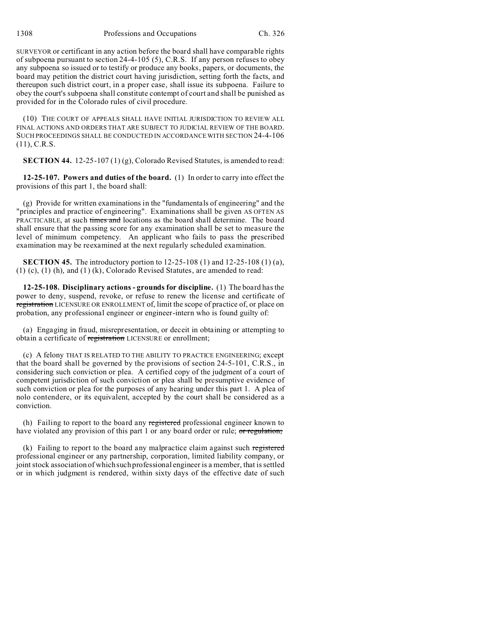SURVEYOR or certificant in any action before the board shall have comparable rights of subpoena pursuant to section 24-4-105 (5), C.R.S. If any person refuses to obey any subpoena so issued or to testify or produce any books, papers, or documents, the board may petition the district court having jurisdiction, setting forth the facts, and thereupon such district court, in a proper case, shall issue its subpoena. Failure to obey the court's subpoena shall constitute contempt of court and shall be punished as provided for in the Colorado rules of civil procedure.

(10) THE COURT OF APPEALS SHALL HAVE INITIAL JURISDICTION TO REVIEW ALL FINAL ACTIONS AND ORDERS THAT ARE SUBJECT TO JUDICIAL REVIEW OF THE BOARD. SUCH PROCEEDINGS SHALL BE CONDUCTED IN ACCORDANCE WITH SECTION 24-4-106 (11), C.R.S.

**SECTION 44.** 12-25-107 (1) (g), Colorado Revised Statutes, is amended to read:

**12-25-107. Powers and duties of the board.** (1) In order to carry into effect the provisions of this part 1, the board shall:

(g) Provide for written examinations in the "fundamentals of engineering" and the "principles and practice of engineering". Examinations shall be given AS OFTEN AS PRACTICABLE, at such times and locations as the board shall determine. The board shall ensure that the passing score for any examination shall be set to measure the level of minimum competency. An applicant who fails to pass the prescribed examination may be reexamined at the next regularly scheduled examination.

**SECTION 45.** The introductory portion to 12-25-108 (1) and 12-25-108 (1) (a), (1) (c), (1) (h), and (1) (k), Colorado Revised Statutes, are amended to read:

**12-25-108. Disciplinary actions - grounds for discipline.** (1) The board has the power to deny, suspend, revoke, or refuse to renew the license and certificate of registration LICENSURE OR ENROLLMENT of, limit the scope of practice of, or place on probation, any professional engineer or engineer-intern who is found guilty of:

(a) Engaging in fraud, misrepresentation, or deceit in obtaining or attempting to obtain a certificate of registration LICENSURE or enrollment;

(c) A felony THAT IS RELATED TO THE ABILITY TO PRACTICE ENGINEERING; except that the board shall be governed by the provisions of section 24-5-101, C.R.S., in considering such conviction or plea. A certified copy of the judgment of a court of competent jurisdiction of such conviction or plea shall be presumptive evidence of such conviction or plea for the purposes of any hearing under this part 1. A plea of nolo contendere, or its equivalent, accepted by the court shall be considered as a conviction.

(h) Failing to report to the board any registered professional engineer known to have violated any provision of this part 1 or any board order or rule; or regulation;

(k) Failing to report to the board any malpractice claim against such registered professional engineer or any partnership, corporation, limited liability company, or joint stock association of which such professional engineer is a member, that is settled or in which judgment is rendered, within sixty days of the effective date of such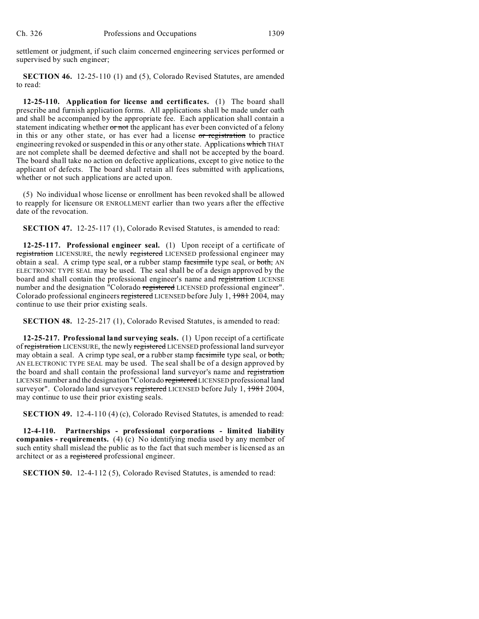settlement or judgment, if such claim concerned engineering services performed or supervised by such engineer;

**SECTION 46.** 12-25-110 (1) and (5), Colorado Revised Statutes, are amended to read:

**12-25-110. Application for license and certificates.** (1) The board shall prescribe and furnish application forms. All applications shall be made under oath and shall be accompanied by the appropriate fee. Each application shall contain a statement indicating whether or not the applicant has ever been convicted of a felony in this or any other state, or has ever had a license or registration to practice engineering revoked or suspended in this or any other state. Applications which THAT are not complete shall be deemed defective and shall not be accepted by the board. The board shall take no action on defective applications, except to give notice to the applicant of defects. The board shall retain all fees submitted with applications, whether or not such applications are acted upon.

(5) No individual whose license or enrollment has been revoked shall be allowed to reapply for licensure OR ENROLLMENT earlier than two years after the effective date of the revocation.

**SECTION 47.** 12-25-117 (1), Colorado Revised Statutes, is amended to read:

**12-25-117. Professional engineer seal.** (1) Upon receipt of a certificate of registration LICENSURE, the newly registered LICENSED professional engineer may obtain a seal. A crimp type seal,  $\sigma$ r a rubber stamp facsimile type seal, or both, AN ELECTRONIC TYPE SEAL may be used. The seal shall be of a design approved by the board and shall contain the professional engineer's name and registration LICENSE number and the designation "Colorado registered LICENSED professional engineer". Colorado professional engineers registered LICENSED before July 1, 1981 2004, may continue to use their prior existing seals.

**SECTION 48.** 12-25-217 (1), Colorado Revised Statutes, is amended to read:

**12-25-217. Professional land surveying seals.** (1) Upon receipt of a certificate of registration LICENSURE, the newly registered LICENSED professional land surveyor may obtain a seal. A crimp type seal, or a rubber stamp facsimile type seal, or both, AN ELECTRONIC TYPE SEAL may be used. The seal shall be of a design approved by the board and shall contain the professional land surveyor's name and registration LICENSE number and the designation "Colorado registered LICENSED professional land surveyor". Colorado land surveyors registered LICENSED before July 1, 1981 2004, may continue to use their prior existing seals.

**SECTION 49.** 12-4-110 (4) (c), Colorado Revised Statutes, is amended to read:

**12-4-110. Partnerships - professional corporations - limited liability companies - requirements.** (4) (c) No identifying media used by any member of such entity shall mislead the public as to the fact that such member is licensed as an architect or as a registered professional engineer.

**SECTION 50.** 12-4-112 (5), Colorado Revised Statutes, is amended to read: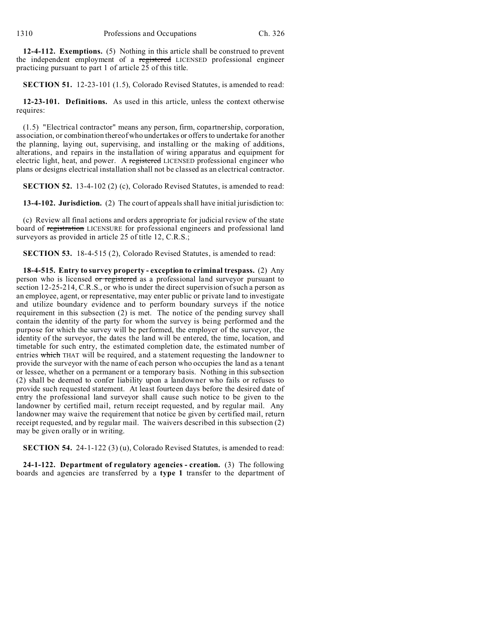**12-4-112. Exemptions.** (5) Nothing in this article shall be construed to prevent the independent employment of a registered LICENSED professional engineer practicing pursuant to part 1 of article 25 of this title.

**SECTION 51.** 12-23-101 (1.5), Colorado Revised Statutes, is amended to read:

**12-23-101. Definitions.** As used in this article, unless the context otherwise requires:

(1.5) "Electrical contractor" means any person, firm, copartnership, corporation, association, or combination thereof who undertakes or offers to undertake for another the planning, laying out, supervising, and installing or the making of additions, alterations, and repairs in the installation of wiring apparatus and equipment for electric light, heat, and power. A registered LICENSED professional engineer who plans or designs electrical installation shall not be classed as an electrical contractor.

**SECTION 52.** 13-4-102 (2) (c), Colorado Revised Statutes, is amended to read:

**13-4-102. Jurisdiction.** (2) The court of appeals shall have initial jurisdiction to:

(c) Review all final actions and orders appropriate for judicial review of the state board of registration LICENSURE for professional engineers and professional land surveyors as provided in article 25 of title 12, C.R.S.;

**SECTION 53.** 18-4-515 (2), Colorado Revised Statutes, is amended to read:

**18-4-515. Entry to survey property - exception to criminal trespass.** (2) Any person who is licensed or registered as a professional land surveyor pursuant to section 12-25-214, C.R.S., or who is under the direct supervision of such a person as an employee, agent, or representative, may enter public or private land to investigate and utilize boundary evidence and to perform boundary surveys if the notice requirement in this subsection (2) is met. The notice of the pending survey shall contain the identity of the party for whom the survey is being performed and the purpose for which the survey will be performed, the employer of the surveyor, the identity of the surveyor, the dates the land will be entered, the time, location, and timetable for such entry, the estimated completion date, the estimated number of entries which THAT will be required, and a statement requesting the landowner to provide the surveyor with the name of each person who occupies the land as a tenant or lessee, whether on a permanent or a temporary basis. Nothing in this subsection (2) shall be deemed to confer liability upon a landowner who fails or refuses to provide such requested statement. At least fourteen days before the desired date of entry the professional land surveyor shall cause such notice to be given to the landowner by certified mail, return receipt requested, and by regular mail. Any landowner may waive the requirement that notice be given by certified mail, return receipt requested, and by regular mail. The waivers described in this subsection (2) may be given orally or in writing.

**SECTION 54.** 24-1-122 (3) (u), Colorado Revised Statutes, is amended to read:

**24-1-122. Department of regulatory agencies - creation.** (3) The following boards and agencies are transferred by a **type 1** transfer to the department of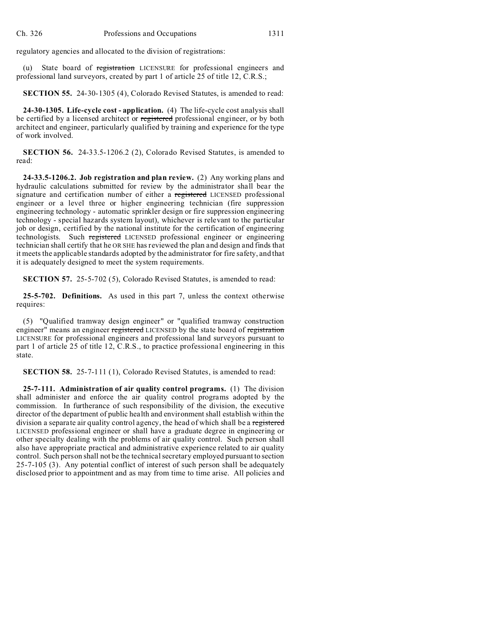regulatory agencies and allocated to the division of registrations:

(u) State board of registration LICENSURE for professional engineers and professional land surveyors, created by part 1 of article 25 of title 12, C.R.S.;

**SECTION 55.** 24-30-1305 (4), Colorado Revised Statutes, is amended to read:

**24-30-1305. Life-cycle cost - application.** (4) The life-cycle cost analysis shall be certified by a licensed architect or registered professional engineer, or by both architect and engineer, particularly qualified by training and experience for the type of work involved.

**SECTION 56.** 24-33.5-1206.2 (2), Colorado Revised Statutes, is amended to read:

**24-33.5-1206.2. Job registration and plan review.** (2) Any working plans and hydraulic calculations submitted for review by the administrator shall bear the signature and certification number of either a registered LICENSED professional engineer or a level three or higher engineering technician (fire suppression engineering technology - automatic sprinkler design or fire suppression engineering technology - special hazards system layout), whichever is relevant to the particular job or design, certified by the national institute for the certification of engineering technologists. Such registered LICENSED professional engineer or engineering technician shall certify that he OR SHE has reviewed the plan and design and finds that it meets the applicable standards adopted by the administrator for fire safety, and that it is adequately designed to meet the system requirements.

**SECTION 57.** 25-5-702 (5), Colorado Revised Statutes, is amended to read:

**25-5-702. Definitions.** As used in this part 7, unless the context otherwise requires:

(5) "Qualified tramway design engineer" or "qualified tramway construction engineer" means an engineer registered LICENSED by the state board of registration LICENSURE for professional engineers and professional land surveyors pursuant to part 1 of article 25 of title 12, C.R.S., to practice professional engineering in this state.

**SECTION 58.** 25-7-111 (1), Colorado Revised Statutes, is amended to read:

**25-7-111. Administration of air quality control programs.** (1) The division shall administer and enforce the air quality control programs adopted by the commission. In furtherance of such responsibility of the division, the executive director of the department of public health and environment shall establish within the division a separate air quality control agency, the head of which shall be a registered LICENSED professional engineer or shall have a graduate degree in engineering or other specialty dealing with the problems of air quality control. Such person shall also have appropriate practical and administrative experience related to air quality control. Such person shall not be the technical secretary employed pursuant to section 25-7-105 (3). Any potential conflict of interest of such person shall be adequately disclosed prior to appointment and as may from time to time arise. All policies and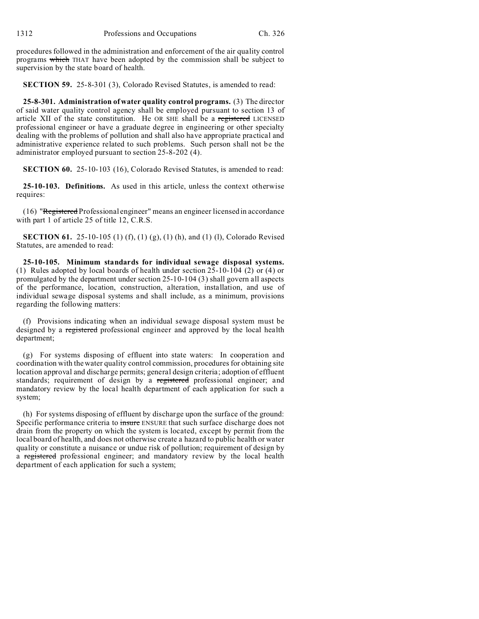procedures followed in the administration and enforcement of the air quality control programs which THAT have been adopted by the commission shall be subject to supervision by the state board of health.

**SECTION 59.** 25-8-301 (3), Colorado Revised Statutes, is amended to read:

**25-8-301. Administration of water quality control programs.** (3) The director of said water quality control agency shall be employed pursuant to section 13 of article XII of the state constitution. He OR SHE shall be a registered LICENSED professional engineer or have a graduate degree in engineering or other specialty dealing with the problems of pollution and shall also have appropriate practical and administrative experience related to such problems. Such person shall not be the administrator employed pursuant to section 25-8-202 (4).

**SECTION 60.** 25-10-103 (16), Colorado Revised Statutes, is amended to read:

**25-10-103. Definitions.** As used in this article, unless the context otherwise requires:

(16) "Registered Professional engineer" means an engineer licensed in accordance with part 1 of article 25 of title 12, C.R.S.

**SECTION 61.** 25-10-105 (1) (f), (1) (g), (1) (h), and (1) (l), Colorado Revised Statutes, are amended to read:

**25-10-105. Minimum standards for individual sewage disposal systems.** (1) Rules adopted by local boards of health under section 25-10-104 (2) or (4) or promulgated by the department under section 25-10-104 (3) shall govern all aspects of the performance, location, construction, alteration, installation, and use of individual sewage disposal systems and shall include, as a minimum, provisions regarding the following matters:

(f) Provisions indicating when an individual sewage disposal system must be designed by a registered professional engineer and approved by the local health department;

(g) For systems disposing of effluent into state waters: In cooperation and coordination with the water quality control commission, procedures for obtaining site location approval and discharge permits; general design criteria; adoption of effluent standards; requirement of design by a registered professional engineer; and mandatory review by the local health department of each application for such a system;

(h) For systems disposing of effluent by discharge upon the surface of the ground: Specific performance criteria to insure ENSURE that such surface discharge does not drain from the property on which the system is located, except by permit from the local board of health, and does not otherwise create a hazard to public health or water quality or constitute a nuisance or undue risk of pollution; requirement of design by a registered professional engineer; and mandatory review by the local health department of each application for such a system;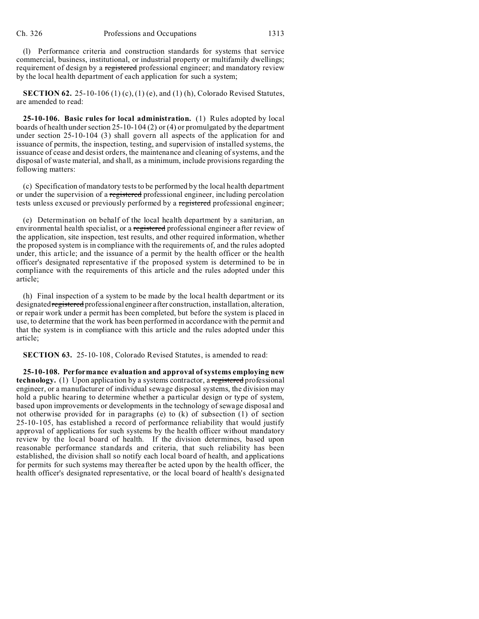(l) Performance criteria and construction standards for systems that service commercial, business, institutional, or industrial property or multifamily dwellings; requirement of design by a registered professional engineer; and mandatory review by the local health department of each application for such a system;

**SECTION 62.** 25-10-106 (1) (c), (1) (e), and (1) (h), Colorado Revised Statutes, are amended to read:

**25-10-106. Basic rules for local administration.** (1) Rules adopted by local boards of health under section 25-10-104 (2) or (4) or promulgated by the department under section 25-10-104 (3) shall govern all aspects of the application for and issuance of permits, the inspection, testing, and supervision of installed systems, the issuance of cease and desist orders, the maintenance and cleaning of systems, and the disposal of waste material, and shall, as a minimum, include provisions regarding the following matters:

(c) Specification of mandatory tests to be performed by the local health department or under the supervision of a registered professional engineer, including percolation tests unless excused or previously performed by a registered professional engineer;

(e) Determination on behalf of the local health department by a sanitarian, an environmental health specialist, or a registered professional engineer after review of the application, site inspection, test results, and other required information, whether the proposed system is in compliance with the requirements of, and the rules adopted under, this article; and the issuance of a permit by the health officer or the health officer's designated representative if the proposed system is determined to be in compliance with the requirements of this article and the rules adopted under this article;

(h) Final inspection of a system to be made by the local health department or its designated registered professional engineer after construction, installation, alteration, or repair work under a permit has been completed, but before the system is placed in use, to determine that the work has been performed in accordance with the permit and that the system is in compliance with this article and the rules adopted under this article;

**SECTION 63.** 25-10-108, Colorado Revised Statutes, is amended to read:

**25-10-108. Performance evaluation and approval of systems employing new technology.** (1) Upon application by a systems contractor, a registered professional engineer, or a manufacturer of individual sewage disposal systems, the division may hold a public hearing to determine whether a particular design or type of system, based upon improvements or developments in the technology of sewage disposal and not otherwise provided for in paragraphs (e) to (k) of subsection (1) of section 25-10-105, has established a record of performance reliability that would justify approval of applications for such systems by the health officer without mandatory review by the local board of health. If the division determines, based upon reasonable performance standards and criteria, that such reliability has been established, the division shall so notify each local board of health, and applications for permits for such systems may thereafter be acted upon by the health officer, the health officer's designated representative, or the local board of health's designated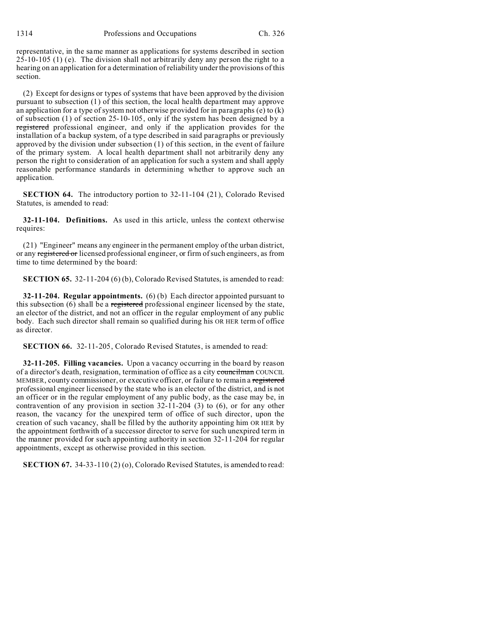representative, in the same manner as applications for systems described in section 25-10-105 (1) (e). The division shall not arbitrarily deny any person the right to a hearing on an application for a determination of reliability under the provisions of this section.

(2) Except for designs or types of systems that have been approved by the division pursuant to subsection (1) of this section, the local health department may approve an application for a type of system not otherwise provided for in paragraphs (e) to (k) of subsection (1) of section 25-10-105, only if the system has been designed by a registered professional engineer, and only if the application provides for the installation of a backup system, of a type described in said paragraphs or previously approved by the division under subsection (1) of this section, in the event of failure of the primary system. A local health department shall not arbitrarily deny any person the right to consideration of an application for such a system and shall apply reasonable performance standards in determining whether to approve such an application.

**SECTION 64.** The introductory portion to 32-11-104 (21), Colorado Revised Statutes, is amended to read:

**32-11-104. Definitions.** As used in this article, unless the context otherwise requires:

(21) "Engineer" means any engineer in the permanent employ of the urban district, or any registered or licensed professional engineer, or firm of such engineers, as from time to time determined by the board:

**SECTION 65.** 32-11-204 (6) (b), Colorado Revised Statutes, is amended to read:

**32-11-204. Regular appointments.** (6) (b) Each director appointed pursuant to this subsection (6) shall be a registered professional engineer licensed by the state, an elector of the district, and not an officer in the regular employment of any public body. Each such director shall remain so qualified during his OR HER term of office as director.

**SECTION 66.** 32-11-205, Colorado Revised Statutes, is amended to read:

**32-11-205. Filling vacancies.** Upon a vacancy occurring in the board by reason of a director's death, resignation, termination of office as a city councilman COUNCIL MEMBER, county commissioner, or executive officer, or failure to remain a registered professional engineer licensed by the state who is an elector of the district, and is not an officer or in the regular employment of any public body, as the case may be, in contravention of any provision in section 32-11-204 (3) to (6), or for any other reason, the vacancy for the unexpired term of office of such director, upon the creation of such vacancy, shall be filled by the authority appointing him OR HER by the appointment forthwith of a successor director to serve for such unexpired term in the manner provided for such appointing authority in section 32-11-204 for regular appointments, except as otherwise provided in this section.

**SECTION 67.** 34-33-110 (2) (o), Colorado Revised Statutes, is amended to read: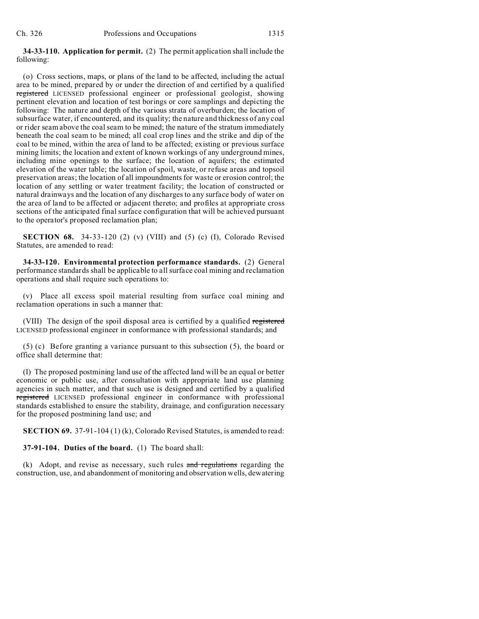**34-33-110. Application for permit.** (2) The permit application shall include the following:

(o) Cross sections, maps, or plans of the land to be affected, including the actual area to be mined, prepared by or under the direction of and certified by a qualified registered LICENSED professional engineer or professional geologist, showing pertinent elevation and location of test borings or core samplings and depicting the following: The nature and depth of the various strata of overburden; the location of subsurface water, if encountered, and its quality; the nature and thickness of any coal or rider seam above the coal seam to be mined; the nature of the stratum immediately beneath the coal seam to be mined; all coal crop lines and the strike and dip of the coal to be mined, within the area of land to be affected; existing or previous surface mining limits; the location and extent of known workings of any underground mines, including mine openings to the surface; the location of aquifers; the estimated elevation of the water table; the location of spoil, waste, or refuse areas and topsoil preservation areas; the location of all impoundments for waste or erosion control; the location of any settling or water treatment facility; the location of constructed or natural drainways and the location of any discharges to any surface body of water on the area of land to be affected or adjacent thereto; and profiles at appropriate cross sections of the anticipated final surface configuration that will be achieved pursuant to the operator's proposed reclamation plan;

**SECTION 68.** 34-33-120 (2) (v) (VIII) and (5) (c) (I), Colorado Revised Statutes, are amended to read:

**34-33-120. Environmental protection performance standards.** (2) General performance standards shall be applicable to all surface coal mining and reclamation operations and shall require such operations to:

(v) Place all excess spoil material resulting from surface coal mining and reclamation operations in such a manner that:

(VIII) The design of the spoil disposal area is certified by a qualified registered LICENSED professional engineer in conformance with professional standards; and

(5) (c) Before granting a variance pursuant to this subsection (5), the board or office shall determine that:

(I) The proposed postmining land use of the affected land will be an equal or better economic or public use, after consultation with appropriate land use planning agencies in such matter, and that such use is designed and certified by a qualified registered LICENSED professional engineer in conformance with professional standards established to ensure the stability, drainage, and configuration necessary for the proposed postmining land use; and

**SECTION 69.** 37-91-104 (1) (k), Colorado Revised Statutes, is amended to read:

**37-91-104. Duties of the board.** (1) The board shall:

 $(k)$  Adopt, and revise as necessary, such rules and regulations regarding the construction, use, and abandonment of monitoring and observation wells, dewatering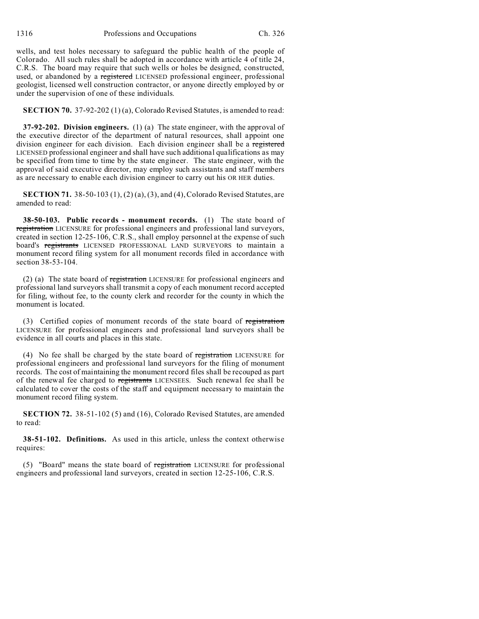1316 Professions and Occupations Ch. 326

wells, and test holes necessary to safeguard the public health of the people of Colorado. All such rules shall be adopted in accordance with article 4 of title 24, C.R.S. The board may require that such wells or holes be designed, constructed, used, or abandoned by a registered LICENSED professional engineer, professional geologist, licensed well construction contractor, or anyone directly employed by or under the supervision of one of these individuals.

**SECTION 70.** 37-92-202 (1) (a), Colorado Revised Statutes, is amended to read:

**37-92-202. Division engineers.** (1) (a) The state engineer, with the approval of the executive director of the department of natural resources, shall appoint one division engineer for each division. Each division engineer shall be a registered LICENSED professional engineer and shall have such additional qualifications as may be specified from time to time by the state engineer. The state engineer, with the approval of said executive director, may employ such assistants and staff members as are necessary to enable each division engineer to carry out his OR HER duties.

**SECTION 71.** 38-50-103 (1), (2) (a), (3), and (4), Colorado Revised Statutes, are amended to read:

**38-50-103. Public records - monument records.** (1) The state board of registration LICENSURE for professional engineers and professional land surveyors, created in section 12-25-106, C.R.S., shall employ personnel at the expense of such board's registrants LICENSED PROFESSIONAL LAND SURVEYORS to maintain a monument record filing system for all monument records filed in accordance with section 38-53-104.

(2) (a) The state board of registration LICENSURE for professional engineers and professional land surveyors shall transmit a copy of each monument record accepted for filing, without fee, to the county clerk and recorder for the county in which the monument is located.

(3) Certified copies of monument records of the state board of registration LICENSURE for professional engineers and professional land surveyors shall be evidence in all courts and places in this state.

(4) No fee shall be charged by the state board of registration LICENSURE for professional engineers and professional land surveyors for the filing of monument records. The cost of maintaining the monument record files shall be recouped as part of the renewal fee charged to registrants LICENSEES. Such renewal fee shall be calculated to cover the costs of the staff and equipment necessary to maintain the monument record filing system.

**SECTION 72.** 38-51-102 (5) and (16), Colorado Revised Statutes, are amended to read:

**38-51-102. Definitions.** As used in this article, unless the context otherwise requires:

(5) "Board" means the state board of registration LICENSURE for professional engineers and professional land surveyors, created in section 12-25-106, C.R.S.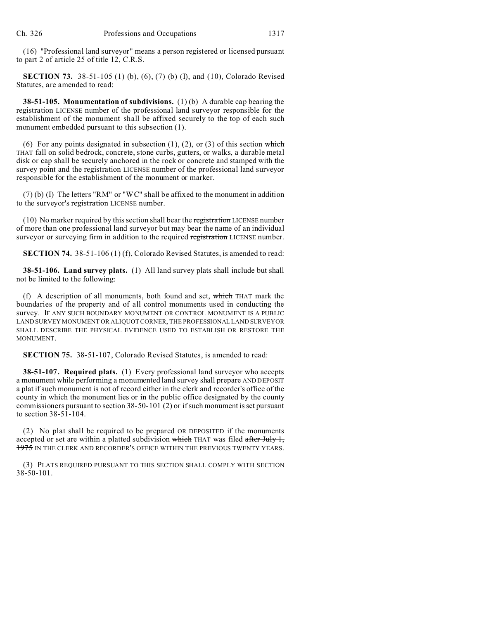(16) "Professional land surveyor" means a person registered or licensed pursuant to part 2 of article 25 of title 12, C.R.S.

**SECTION 73.** 38-51-105 (1) (b), (6), (7) (b) (I), and (10), Colorado Revised Statutes, are amended to read:

**38-51-105. Monumentation of subdivisions.** (1) (b) A durable cap bearing the registration LICENSE number of the professional land surveyor responsible for the establishment of the monument shall be affixed securely to the top of each such monument embedded pursuant to this subsection (1).

(6) For any points designated in subsection  $(1)$ ,  $(2)$ , or  $(3)$  of this section which THAT fall on solid bedrock, concrete, stone curbs, gutters, or walks, a durable metal disk or cap shall be securely anchored in the rock or concrete and stamped with the survey point and the registration LICENSE number of the professional land surveyor responsible for the establishment of the monument or marker.

(7) (b) (I) The letters "RM" or "WC" shall be affixed to the monument in addition to the surveyor's registration LICENSE number.

(10) No marker required by this section shall bear the registration LICENSE number of more than one professional land surveyor but may bear the name of an individual survey or surveying firm in addition to the required registration LICENSE number.

**SECTION 74.** 38-51-106 (1) (f), Colorado Revised Statutes, is amended to read:

**38-51-106. Land survey plats.** (1) All land survey plats shall include but shall not be limited to the following:

(f) A description of all monuments, both found and set, which THAT mark the boundaries of the property and of all control monuments used in conducting the survey. IF ANY SUCH BOUNDARY MONUMENT OR CONTROL MONUMENT IS A PUBLIC LAND SURVEY MONUMENT OR ALIQUOT CORNER, THE PROFESSIONAL LAND SURVEYOR SHALL DESCRIBE THE PHYSICAL EVIDENCE USED TO ESTABLISH OR RESTORE THE MONUMENT.

**SECTION 75.** 38-51-107, Colorado Revised Statutes, is amended to read:

**38-51-107. Required plats.** (1) Every professional land surveyor who accepts a monument while performing a monumented land survey shall prepare AND DEPOSIT a plat if such monument is not of record either in the clerk and recorder's office of the county in which the monument lies or in the public office designated by the county commissioners pursuant to section 38-50-101 (2) or if such monument is set pursuant to section  $38-51-104$ .

(2) No plat shall be required to be prepared OR DEPOSITED if the monuments accepted or set are within a platted subdivision which THAT was filed after July 1, 1975 IN THE CLERK AND RECORDER'S OFFICE WITHIN THE PREVIOUS TWENTY YEARS.

(3) PLATS REQUIRED PURSUANT TO THIS SECTION SHALL COMPLY WITH SECTION 38-50-101.